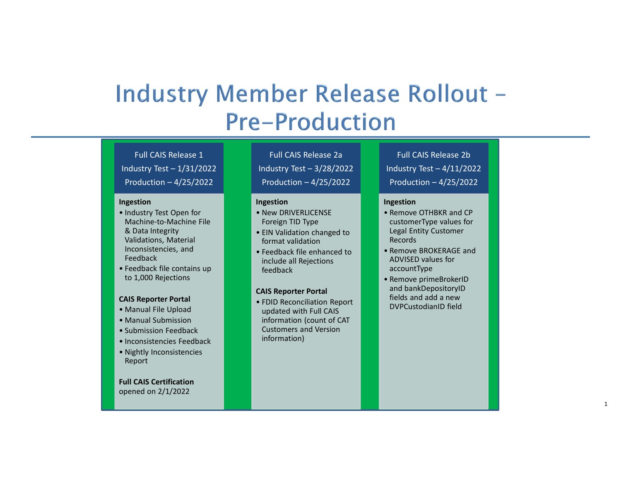## **Industry Test – 1/31/2022**<br>
Pre – **Production**<br>
Full CAIS Release 1<br>
Industry Test – 1/31/2022<br>
Production – 4/25/2022<br>
Production – 4/25/2022<br>
Production – 4/25/2022<br>
Production – 4/25/2022<br>
Production – 4/25/2022<br>
Produ **Production – 4/25/2022<br>
Production – 4/25/2022<br>
Production – 4/25/2022<br>
Production – 4/25/2022<br>
Production – 4/25/2022<br>
Production – 4/25/2022<br>
Production – 4/25/2022<br>
Production – 4/25/2022<br>
Production – 4/25/2022<br>
Produ Pre-Production**<br>
Full CAIS Release 1<br>
Industry Test – 1/31/2022<br>
Production – 4/25/2022<br>
Production – 4/25/2022<br>
Production – 4/25/2022<br>
Production – 4/25/2022<br>
Production – 4/25/2022<br>
Production – 4/25/2022<br>
Production – INCOLLECTION:<br>
Full CAIS Release 1<br>
Industry Test – 1/31/2022<br>
Production – 4/25/2022<br>
Production – 4/25/2022<br>
Production – 4/25/2022<br>
Production – 4/25/2022<br>
Production – 4/25/2022<br>
Production – 4/25/2022<br>
Production – 4/ **Preedback**<br>
Full CAIS Release 1<br>
Industry Test – 1/31/2022<br>
Production – 4/25/2022<br>
Production – 4/25/2022<br>
Production – 4/25/2022<br>
Production – 4/25/2022<br>
Production – 4/25/2022<br>
Production – 4/25/2022<br>
Production – 4/25 **ndoer Release Rollout** –<br>
Full CAIS Release 2a<br>
Industry Test – 3/28/2022<br>
Production – 4/25/2022<br>
Production – 4/25/2022<br>
Production – 4/25/2022<br>
Production – 4/25/2022<br>
Production – 4/25/2022<br>
Production – 4/25/2022<br>
P **Solution 1988**<br> **Production – 4/25/2022**<br>
Production – 4/25/2022<br>
Production – 4/25/2022<br>
Production – 4/25/2022<br>
Production – 4/25/2022<br>
Production – 4/25/2022<br>
Production – 4/25/2022<br>
Production – 4/25/2022<br>
Production **THE CASE ROLLOUT**<br>
Full CAIS Release 2a<br>
Industry Test – 3/28/2022<br>
Production – 4/25/2022<br>
Production – 4/25/2022<br>
Production – 4/25/2022<br>
Production – 4/25/2022<br>
Production – 4/25/2022<br>
Production – 4/25/2022<br>
Producti **CONSERVERIGE SERVERIGE AND ARREST SCREECISE CONSERVANCE SCREECISE (SPACE ARREST SCREECISE SPACE ARREST SCREECISE SPACE ARREST SPACE AND SERVERIGE AND SERVER SPACE AND ARREST SPACE REGULAR (SPACE ARREST SPACE ARREST SPACE Phonon Expansion**<br>
Full CAIS Release 2a<br>
Industry Test – 3/28/2022<br>
Production – 4/25/2022<br>
Production – 4/25/2022<br>
Production – 4/25/2022<br>
Production – 4/25/2022<br>
Production – 4/25/2022<br>
Production – 4/25/2022<br>
Producti **EXERCT SCREED (SCREED CALC REPORT)**<br>
Full CAIS Release 2a<br>
Industry Test – 3/28/2022<br>
Production – 4/25/2022<br>
Production – 4/25/2022<br> **Ingestion**<br> **Reconciliation Angle 10**<br> **Reconciliation changed to**<br> **CONCIFICATE:**<br> **R CONSTRESS (SOMEXELA)**<br>
Full CAIS Release 2b<br>
Industry Test – 4/11/2022<br>
Production – 4/25/2022<br>
Premove OTHBKR and CP<br>
CustomerType values for **Production – 4/25/2022**<br> **Production – 4/11/2022**<br> **Production – 4/25/2022**<br> **Production – 4/25/2022**<br> **Remove OTHBKR and CP**<br> **CustomerType values for**<br> **Renords**<br> **Renords EXERCISE AND NOTE AND SERVED SERVED AND REPROCES AND REPROSENT ACCORDING A REPROCES AND REPROCES AND REPROCES AND REPROCES AND REPROCES AND ACCOUNT OF ACCORD ACCOUNT ONCE ACCORDING ACCOUNT OF ACCOUNT ACCOUNT OF ACCOUNT O Full CAIS Release 2b**<br> **Full CAIS Release 2b**<br> **Industry Test – 4/11/2022**<br> **Production – 4/25/2022**<br> **Ingestion**<br>
• Remove OTHBKR and CP<br>
customerType values for<br>
Records<br>
Records<br>
• Remove BROKERAGE and<br>
ADVISED values **FULL CAIS Release 2b**<br> **FULL CAIS Release 2b**<br> **Industry Test – 4/11/2022**<br> **Production – 4/25/2022**<br> **Ingestion**<br>
• Remove OTHBKR and CP<br>
customerType values for<br> **Legal Entity Customer**<br> **Remove BROKERAGE and ADVISED va**

#### Full CAIS Release 1

#### Ingestion **International Contract Contract Contract Contract Contract Contract Contract Contract Contract Contract Contract Contract Contract Contract Contract Contract Contract Contract Contract Contract Contract Contract**

- Machine-to-Machine File & Data Integrity Validations, Material Inconsistencies, and Full CAIS Release 1<br>
Industry Test – 1/31/2022<br>
Production – 4/25/2022<br>
Production – 4/25/2022<br>
Production – 4/25/2022<br>
Production – 4/25/2022<br>
Production – 4/25/2022<br>
Production – 4/25/2022<br>
Production – 4/25/2022<br>
Produc Full CAIS Release 1<br>
Industry Test – 1/31/2022<br>
Production – 4/25/2022<br>
Production – 4/25/2022<br>
Production – 4/25/2022<br>
Production – 4/25/2022<br>
Production – 4/25/2022<br>
Production – 4/25/2022<br>
Production – 4/25/2022<br>
Produc Full CAIS Release 1<br>
Industry Test – 1/31/2022<br>
Production – 4/25/2022<br>
Production – 4/25/2022<br>
Production – 4/25/2022<br>
Ingestion<br>
• Industry Test Open for<br>
• Machine-to-Machine File<br>
& Data Integrity<br>
• Invasiliation chan • Full CAIS Release 1<br>
Industry Test – 1/31/2022<br>
Production – 4/25/2022<br>
Production – 4/25/2022<br>
Production – 4/25/2022<br>
Production – 4/25/2022<br>
Production – 4/25/2022<br>
Production – 4/25/2022<br>
Production – 4/25/2022<br>
Pr
- to 1,000 Rejections

#### CAIS Reporter Portal

- 
- 
- 
- 
- Report

Full CAIS Certification opened on 2/1/2022

# Full CAIS Release 2a

#### **Ingestion** in the set of the largestion of the set of the set of the set of the set of the set of the set of the

- Foreign TID Type
- format validation
- Inconsistencies, and<br>Feedback enhanced to<br>include all Bejections include all Rejections feedback

#### CAIS Reporter Portal

**updated with Full CAIS** information (count of CAT Customers and Version information)

Full CAIS Release 2b **Full CAIS Release 2b**<br> **ndustry Test – 4/11/2022**<br> **Production – 4/25/2022**<br> **Production – 4/25/2022**<br> **reserve OTHBKR and CP**<br> **reserve EXECUS VALUATION**<br> **Records**<br> **Remove BROKERAGE and<br>
ADVISED values for<br>
accountType** 

- customerType values for Legal Entity Customer Records
- ADVISED values for accountType
- and bankDepositoryID fields and add a new